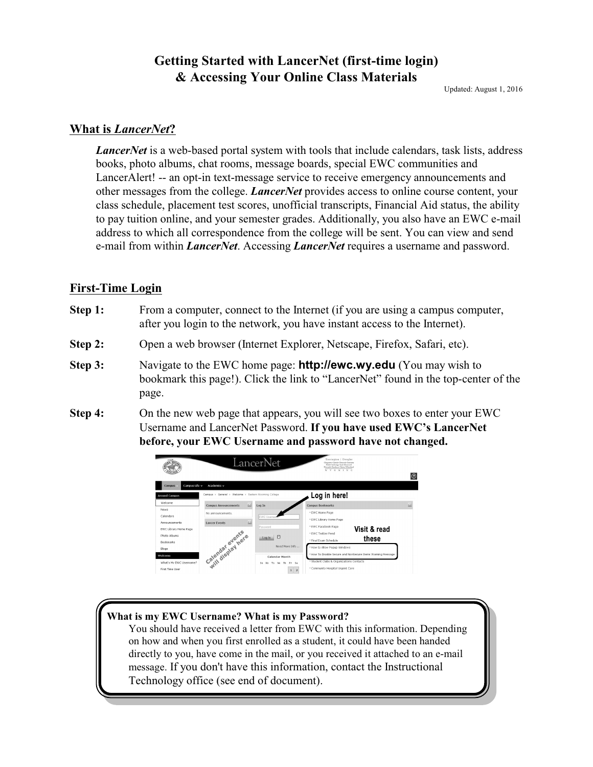# **Getting Started with LancerNet (first-time login) & Accessing Your Online Class Materials**

Updated: August 1, 2016

#### **What is** *LancerNet***?**

*LancerNet* is a web-based portal system with tools that include calendars, task lists, address books, photo albums, chat rooms, message boards, special EWC communities and LancerAlert! -- an opt-in text-message service to receive emergency announcements and other messages from the college. *LancerNet* provides access to online course content, your class schedule, placement test scores, unofficial transcripts, Financial Aid status, the ability to pay tuition online, and your semester grades. Additionally, you also have an EWC e-mail address to which all correspondence from the college will be sent. You can view and send e-mail from within *LancerNet*. Accessing *LancerNet* requires a username and password.

### **First-Time Login**

- **Step 1:** From a computer, connect to the Internet (if you are using a campus computer, after you login to the network, you have instant access to the Internet).
- **Step 2:** Open a web browser (Internet Explorer, Netscape, Firefox, Safari, etc).
- **Step 3:** Navigate to the EWC home page: **http://ewc.wy.edu** (You may wish to bookmark this page!). Click the link to "LancerNet" found in the top-center of the page.
- **Step 4:** On the new web page that appears, you will see two boxes to enter your EWC Username and LancerNet Password. **If you have used EWC's LancerNet before, your EWC Username and password have not changed.**



#### **What is my EWC Username? What is my Password?**

You should have received a letter from EWC with this information. Depending on how and when you first enrolled as a student, it could have been handed directly to you, have come in the mail, or you received it attached to an e-mail message. If you don't have this information, contact the Instructional Technology office (see end of document).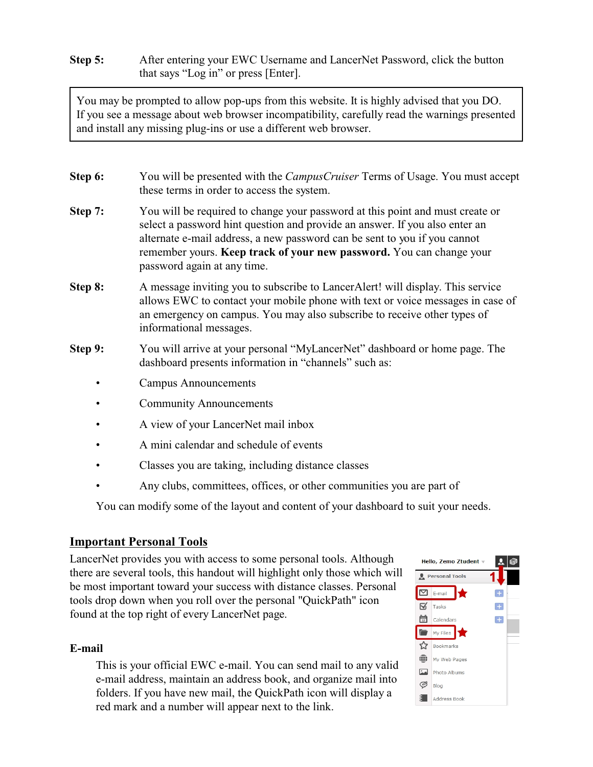**Step 5:** After entering your EWC Username and LancerNet Password, click the button that says "Log in" or press [Enter].

You may be prompted to allow pop-ups from this website. It is highly advised that you DO. If you see a message about web browser incompatibility, carefully read the warnings presented and install any missing plug-ins or use a different web browser.

- **Step 6:** You will be presented with the *CampusCruiser* Terms of Usage. You must accept these terms in order to access the system.
- **Step 7:** You will be required to change your password at this point and must create or select a password hint question and provide an answer. If you also enter an alternate e-mail address, a new password can be sent to you if you cannot remember yours. **Keep track of your new password.** You can change your password again at any time.
- **Step 8:** A message inviting you to subscribe to LancerAlert! will display. This service allows EWC to contact your mobile phone with text or voice messages in case of an emergency on campus. You may also subscribe to receive other types of informational messages.
- **Step 9:** You will arrive at your personal "MyLancerNet" dashboard or home page. The dashboard presents information in "channels" such as:
	- Campus Announcements
	- Community Announcements
	- A view of your LancerNet mail inbox
	- A mini calendar and schedule of events
	- Classes you are taking, including distance classes
	- Any clubs, committees, offices, or other communities you are part of

You can modify some of the layout and content of your dashboard to suit your needs.

### **Important Personal Tools**

LancerNet provides you with access to some personal tools. Although there are several tools, this handout will highlight only those which will be most important toward your success with distance classes. Personal tools drop down when you roll over the personal "QuickPath" icon found at the top right of every LancerNet page.

### **E-mail**

This is your official EWC e-mail. You can send mail to any valid e-mail address, maintain an address book, and organize mail into folders. If you have new mail, the QuickPath icon will display a red mark and a number will appear next to the link.